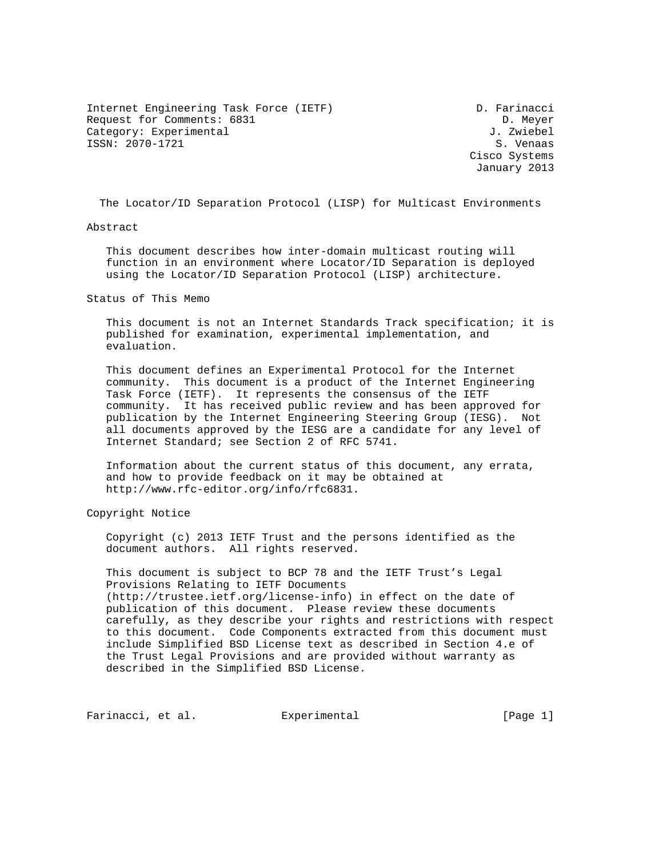Internet Engineering Task Force (IETF) D. Farinacci Request for Comments: 6831 D. Meyer Category: Experimental  $J.$  Zwiebel ISSN: 2070-1721 S. Venaas

 Cisco Systems January 2013

The Locator/ID Separation Protocol (LISP) for Multicast Environments

Abstract

 This document describes how inter-domain multicast routing will function in an environment where Locator/ID Separation is deployed using the Locator/ID Separation Protocol (LISP) architecture.

Status of This Memo

 This document is not an Internet Standards Track specification; it is published for examination, experimental implementation, and evaluation.

 This document defines an Experimental Protocol for the Internet community. This document is a product of the Internet Engineering Task Force (IETF). It represents the consensus of the IETF community. It has received public review and has been approved for publication by the Internet Engineering Steering Group (IESG). Not all documents approved by the IESG are a candidate for any level of Internet Standard; see Section 2 of RFC 5741.

 Information about the current status of this document, any errata, and how to provide feedback on it may be obtained at http://www.rfc-editor.org/info/rfc6831.

Copyright Notice

 Copyright (c) 2013 IETF Trust and the persons identified as the document authors. All rights reserved.

 This document is subject to BCP 78 and the IETF Trust's Legal Provisions Relating to IETF Documents (http://trustee.ietf.org/license-info) in effect on the date of publication of this document. Please review these documents carefully, as they describe your rights and restrictions with respect to this document. Code Components extracted from this document must include Simplified BSD License text as described in Section 4.e of the Trust Legal Provisions and are provided without warranty as described in the Simplified BSD License.

Farinacci, et al. Experimental [Page 1]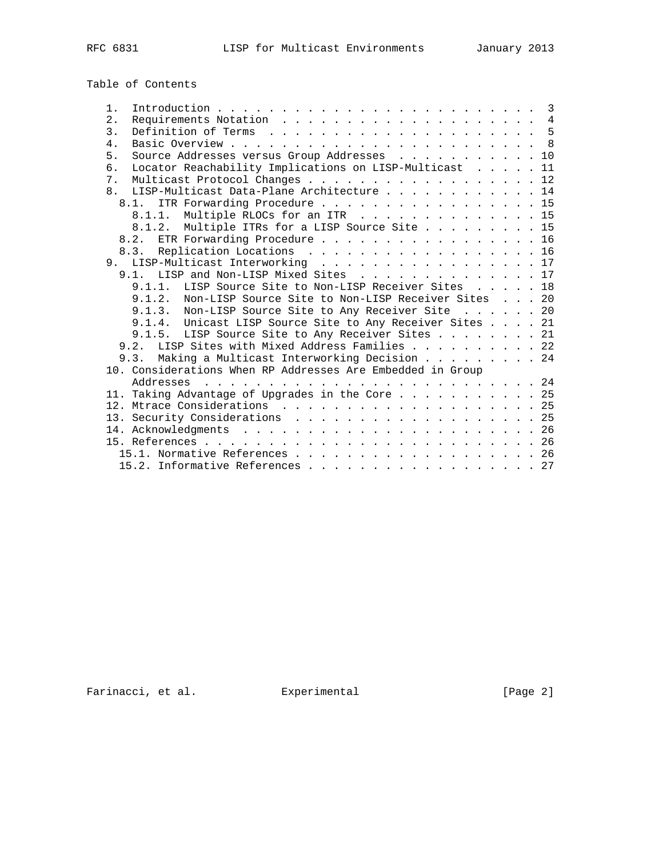Table of Contents

| $1$ .                                                        |  |  |
|--------------------------------------------------------------|--|--|
| 2.                                                           |  |  |
| 3.                                                           |  |  |
| 4.                                                           |  |  |
| Source Addresses versus Group Addresses 10<br>5.             |  |  |
| Locator Reachability Implications on LISP-Multicast 11<br>б. |  |  |
| Multicast Protocol Changes 12<br>7.                          |  |  |
| 8. LISP-Multicast Data-Plane Architecture 14                 |  |  |
| ITR Forwarding Procedure 15<br>8.1.                          |  |  |
| 8.1.1. Multiple RLOCs for an ITR 15                          |  |  |
| 8.1.2. Multiple ITRs for a LISP Source Site 15               |  |  |
| 8.2. ETR Forwarding Procedure 16                             |  |  |
| 8.3. Replication Locations 16                                |  |  |
| 9. LISP-Multicast Interworking 17                            |  |  |
| 9.1. LISP and Non-LISP Mixed Sites 17                        |  |  |
| 9.1.1. LISP Source Site to Non-LISP Receiver Sites 18        |  |  |
| 9.1.2. Non-LISP Source Site to Non-LISP Receiver Sites 20    |  |  |
| 9.1.3. Non-LISP Source Site to Any Receiver Site 20          |  |  |
| 9.1.4. Unicast LISP Source Site to Any Receiver Sites 21     |  |  |
| 9.1.5. LISP Source Site to Any Receiver Sites 21             |  |  |
| 9.2. LISP Sites with Mixed Address Families 22               |  |  |
| 9.3. Making a Multicast Interworking Decision 24             |  |  |
| 10. Considerations When RP Addresses Are Embedded in Group   |  |  |
|                                                              |  |  |
| 11. Taking Advantage of Upgrades in the Core 25              |  |  |
|                                                              |  |  |
|                                                              |  |  |
|                                                              |  |  |
|                                                              |  |  |
| 15.1. Normative References 26                                |  |  |
| 15.2. Informative References 27                              |  |  |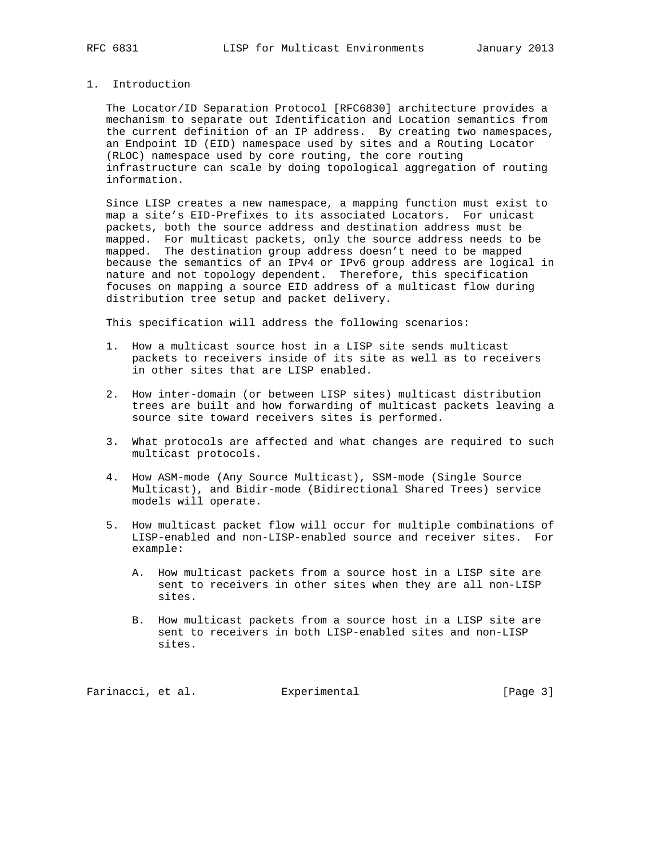## 1. Introduction

 The Locator/ID Separation Protocol [RFC6830] architecture provides a mechanism to separate out Identification and Location semantics from the current definition of an IP address. By creating two namespaces, an Endpoint ID (EID) namespace used by sites and a Routing Locator (RLOC) namespace used by core routing, the core routing infrastructure can scale by doing topological aggregation of routing information.

 Since LISP creates a new namespace, a mapping function must exist to map a site's EID-Prefixes to its associated Locators. For unicast packets, both the source address and destination address must be mapped. For multicast packets, only the source address needs to be mapped. The destination group address doesn't need to be mapped because the semantics of an IPv4 or IPv6 group address are logical in nature and not topology dependent. Therefore, this specification focuses on mapping a source EID address of a multicast flow during distribution tree setup and packet delivery.

This specification will address the following scenarios:

- 1. How a multicast source host in a LISP site sends multicast packets to receivers inside of its site as well as to receivers in other sites that are LISP enabled.
- 2. How inter-domain (or between LISP sites) multicast distribution trees are built and how forwarding of multicast packets leaving a source site toward receivers sites is performed.
- 3. What protocols are affected and what changes are required to such multicast protocols.
- 4. How ASM-mode (Any Source Multicast), SSM-mode (Single Source Multicast), and Bidir-mode (Bidirectional Shared Trees) service models will operate.
- 5. How multicast packet flow will occur for multiple combinations of LISP-enabled and non-LISP-enabled source and receiver sites. For example:
	- A. How multicast packets from a source host in a LISP site are sent to receivers in other sites when they are all non-LISP sites.
	- B. How multicast packets from a source host in a LISP site are sent to receivers in both LISP-enabled sites and non-LISP sites.

Farinacci, et al. Experimental [Page 3]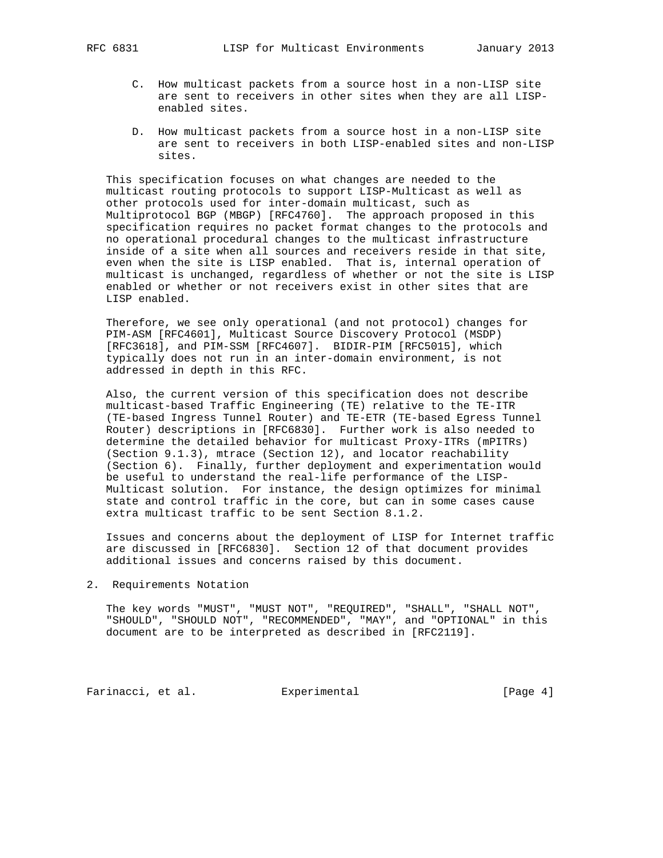- C. How multicast packets from a source host in a non-LISP site are sent to receivers in other sites when they are all LISP enabled sites.
- D. How multicast packets from a source host in a non-LISP site are sent to receivers in both LISP-enabled sites and non-LISP sites.

 This specification focuses on what changes are needed to the multicast routing protocols to support LISP-Multicast as well as other protocols used for inter-domain multicast, such as Multiprotocol BGP (MBGP) [RFC4760]. The approach proposed in this specification requires no packet format changes to the protocols and no operational procedural changes to the multicast infrastructure inside of a site when all sources and receivers reside in that site, even when the site is LISP enabled. That is, internal operation of multicast is unchanged, regardless of whether or not the site is LISP enabled or whether or not receivers exist in other sites that are LISP enabled.

 Therefore, we see only operational (and not protocol) changes for PIM-ASM [RFC4601], Multicast Source Discovery Protocol (MSDP) [RFC3618], and PIM-SSM [RFC4607]. BIDIR-PIM [RFC5015], which typically does not run in an inter-domain environment, is not addressed in depth in this RFC.

 Also, the current version of this specification does not describe multicast-based Traffic Engineering (TE) relative to the TE-ITR (TE-based Ingress Tunnel Router) and TE-ETR (TE-based Egress Tunnel Router) descriptions in [RFC6830]. Further work is also needed to determine the detailed behavior for multicast Proxy-ITRs (mPITRs) (Section 9.1.3), mtrace (Section 12), and locator reachability (Section 6). Finally, further deployment and experimentation would be useful to understand the real-life performance of the LISP- Multicast solution. For instance, the design optimizes for minimal state and control traffic in the core, but can in some cases cause extra multicast traffic to be sent Section 8.1.2.

 Issues and concerns about the deployment of LISP for Internet traffic are discussed in [RFC6830]. Section 12 of that document provides additional issues and concerns raised by this document.

2. Requirements Notation

 The key words "MUST", "MUST NOT", "REQUIRED", "SHALL", "SHALL NOT", "SHOULD", "SHOULD NOT", "RECOMMENDED", "MAY", and "OPTIONAL" in this document are to be interpreted as described in [RFC2119].

Farinacci, et al. Experimental Farinacci [Page 4]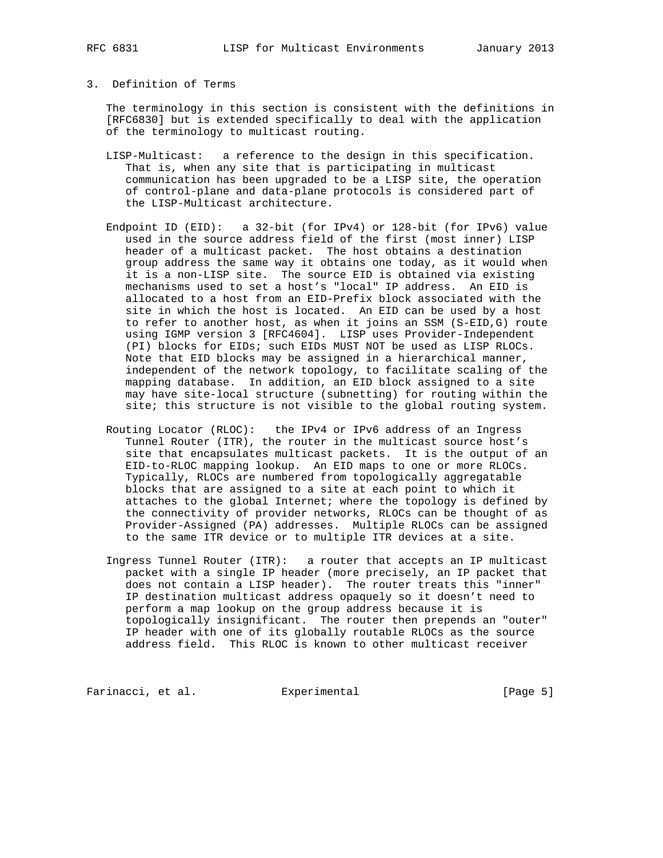#### 3. Definition of Terms

 The terminology in this section is consistent with the definitions in [RFC6830] but is extended specifically to deal with the application of the terminology to multicast routing.

- LISP-Multicast: a reference to the design in this specification. That is, when any site that is participating in multicast communication has been upgraded to be a LISP site, the operation of control-plane and data-plane protocols is considered part of the LISP-Multicast architecture.
- Endpoint ID (EID): a 32-bit (for IPv4) or 128-bit (for IPv6) value used in the source address field of the first (most inner) LISP header of a multicast packet. The host obtains a destination group address the same way it obtains one today, as it would when it is a non-LISP site. The source EID is obtained via existing mechanisms used to set a host's "local" IP address. An EID is allocated to a host from an EID-Prefix block associated with the site in which the host is located. An EID can be used by a host to refer to another host, as when it joins an SSM (S-EID,G) route using IGMP version 3 [RFC4604]. LISP uses Provider-Independent (PI) blocks for EIDs; such EIDs MUST NOT be used as LISP RLOCs. Note that EID blocks may be assigned in a hierarchical manner, independent of the network topology, to facilitate scaling of the mapping database. In addition, an EID block assigned to a site may have site-local structure (subnetting) for routing within the site; this structure is not visible to the global routing system.
- Routing Locator (RLOC): the IPv4 or IPv6 address of an Ingress Tunnel Router (ITR), the router in the multicast source host's site that encapsulates multicast packets. It is the output of an EID-to-RLOC mapping lookup. An EID maps to one or more RLOCs. Typically, RLOCs are numbered from topologically aggregatable blocks that are assigned to a site at each point to which it attaches to the global Internet; where the topology is defined by the connectivity of provider networks, RLOCs can be thought of as Provider-Assigned (PA) addresses. Multiple RLOCs can be assigned to the same ITR device or to multiple ITR devices at a site.
- Ingress Tunnel Router (ITR): a router that accepts an IP multicast packet with a single IP header (more precisely, an IP packet that does not contain a LISP header). The router treats this "inner" IP destination multicast address opaquely so it doesn't need to perform a map lookup on the group address because it is topologically insignificant. The router then prepends an "outer" IP header with one of its globally routable RLOCs as the source address field. This RLOC is known to other multicast receiver

Farinacci, et al. Experimental [Page 5]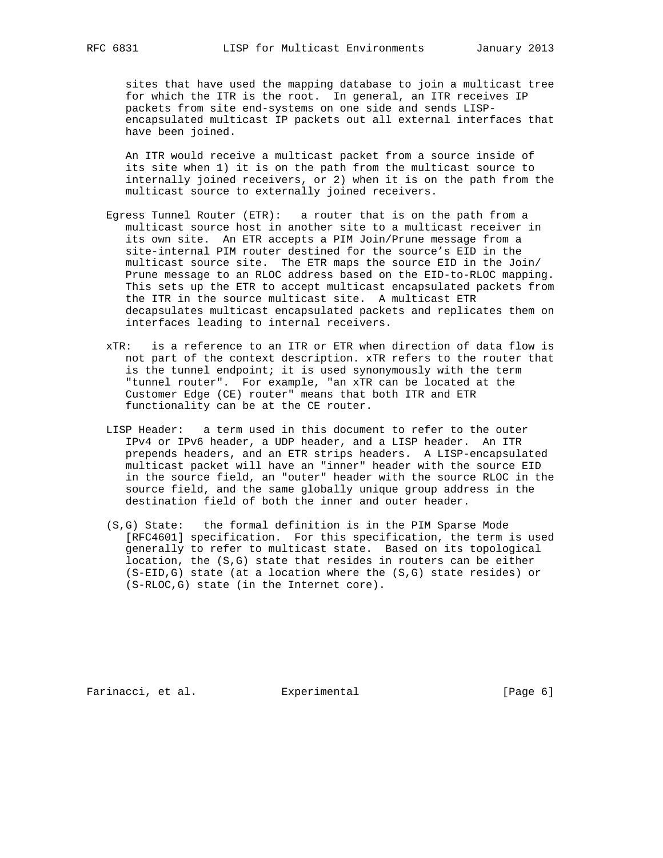sites that have used the mapping database to join a multicast tree for which the ITR is the root. In general, an ITR receives IP packets from site end-systems on one side and sends LISP encapsulated multicast IP packets out all external interfaces that have been joined.

 An ITR would receive a multicast packet from a source inside of its site when 1) it is on the path from the multicast source to internally joined receivers, or 2) when it is on the path from the multicast source to externally joined receivers.

- Egress Tunnel Router (ETR): a router that is on the path from a multicast source host in another site to a multicast receiver in its own site. An ETR accepts a PIM Join/Prune message from a site-internal PIM router destined for the source's EID in the multicast source site. The ETR maps the source EID in the Join/ Prune message to an RLOC address based on the EID-to-RLOC mapping. This sets up the ETR to accept multicast encapsulated packets from the ITR in the source multicast site. A multicast ETR decapsulates multicast encapsulated packets and replicates them on interfaces leading to internal receivers.
- xTR: is a reference to an ITR or ETR when direction of data flow is not part of the context description. xTR refers to the router that is the tunnel endpoint; it is used synonymously with the term "tunnel router". For example, "an xTR can be located at the Customer Edge (CE) router" means that both ITR and ETR functionality can be at the CE router.
- LISP Header: a term used in this document to refer to the outer IPv4 or IPv6 header, a UDP header, and a LISP header. An ITR prepends headers, and an ETR strips headers. A LISP-encapsulated multicast packet will have an "inner" header with the source EID in the source field, an "outer" header with the source RLOC in the source field, and the same globally unique group address in the destination field of both the inner and outer header.
- (S,G) State: the formal definition is in the PIM Sparse Mode [RFC4601] specification. For this specification, the term is used generally to refer to multicast state. Based on its topological location, the (S,G) state that resides in routers can be either (S-EID,G) state (at a location where the (S,G) state resides) or (S-RLOC,G) state (in the Internet core).

Farinacci, et al. Experimental [Page 6]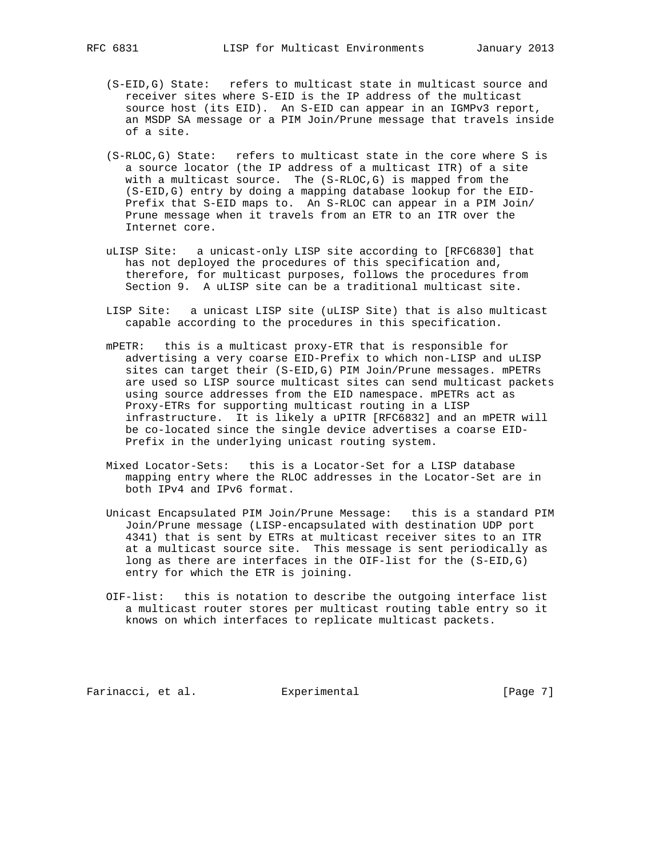- - (S-EID,G) State: refers to multicast state in multicast source and receiver sites where S-EID is the IP address of the multicast source host (its EID). An S-EID can appear in an IGMPv3 report, an MSDP SA message or a PIM Join/Prune message that travels inside of a site.
	- (S-RLOC,G) State: refers to multicast state in the core where S is a source locator (the IP address of a multicast ITR) of a site with a multicast source. The (S-RLOC,G) is mapped from the (S-EID,G) entry by doing a mapping database lookup for the EID- Prefix that S-EID maps to. An S-RLOC can appear in a PIM Join/ Prune message when it travels from an ETR to an ITR over the Internet core.
	- uLISP Site: a unicast-only LISP site according to [RFC6830] that has not deployed the procedures of this specification and, therefore, for multicast purposes, follows the procedures from Section 9. A uLISP site can be a traditional multicast site.
	- LISP Site: a unicast LISP site (uLISP Site) that is also multicast capable according to the procedures in this specification.
	- mPETR: this is a multicast proxy-ETR that is responsible for advertising a very coarse EID-Prefix to which non-LISP and uLISP sites can target their (S-EID,G) PIM Join/Prune messages. mPETRs are used so LISP source multicast sites can send multicast packets using source addresses from the EID namespace. mPETRs act as Proxy-ETRs for supporting multicast routing in a LISP infrastructure. It is likely a uPITR [RFC6832] and an mPETR will be co-located since the single device advertises a coarse EID- Prefix in the underlying unicast routing system.
	- Mixed Locator-Sets: this is a Locator-Set for a LISP database mapping entry where the RLOC addresses in the Locator-Set are in both IPv4 and IPv6 format.
	- Unicast Encapsulated PIM Join/Prune Message: this is a standard PIM Join/Prune message (LISP-encapsulated with destination UDP port 4341) that is sent by ETRs at multicast receiver sites to an ITR at a multicast source site. This message is sent periodically as long as there are interfaces in the OIF-list for the (S-EID,G) entry for which the ETR is joining.
	- OIF-list: this is notation to describe the outgoing interface list a multicast router stores per multicast routing table entry so it knows on which interfaces to replicate multicast packets.

Farinacci, et al. Experimental [Page 7]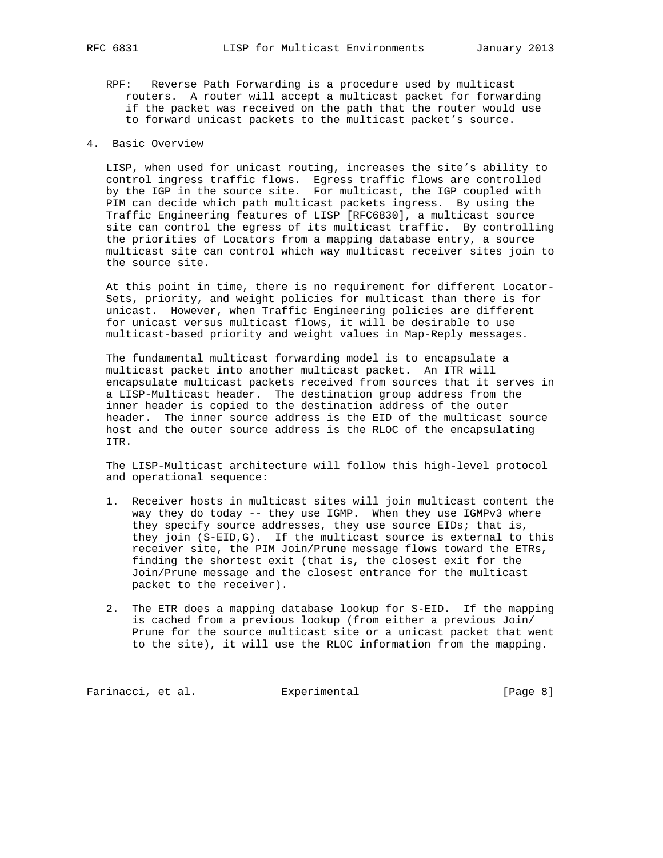- RPF: Reverse Path Forwarding is a procedure used by multicast routers. A router will accept a multicast packet for forwarding if the packet was received on the path that the router would use to forward unicast packets to the multicast packet's source.
- 4. Basic Overview

 LISP, when used for unicast routing, increases the site's ability to control ingress traffic flows. Egress traffic flows are controlled by the IGP in the source site. For multicast, the IGP coupled with PIM can decide which path multicast packets ingress. By using the Traffic Engineering features of LISP [RFC6830], a multicast source site can control the egress of its multicast traffic. By controlling the priorities of Locators from a mapping database entry, a source multicast site can control which way multicast receiver sites join to the source site.

 At this point in time, there is no requirement for different Locator- Sets, priority, and weight policies for multicast than there is for unicast. However, when Traffic Engineering policies are different for unicast versus multicast flows, it will be desirable to use multicast-based priority and weight values in Map-Reply messages.

 The fundamental multicast forwarding model is to encapsulate a multicast packet into another multicast packet. An ITR will encapsulate multicast packets received from sources that it serves in a LISP-Multicast header. The destination group address from the inner header is copied to the destination address of the outer header. The inner source address is the EID of the multicast source host and the outer source address is the RLOC of the encapsulating ITR.

 The LISP-Multicast architecture will follow this high-level protocol and operational sequence:

- 1. Receiver hosts in multicast sites will join multicast content the way they do today -- they use IGMP. When they use IGMPv3 where they specify source addresses, they use source EIDs; that is, they join (S-EID,G). If the multicast source is external to this receiver site, the PIM Join/Prune message flows toward the ETRs, finding the shortest exit (that is, the closest exit for the Join/Prune message and the closest entrance for the multicast packet to the receiver).
- 2. The ETR does a mapping database lookup for S-EID. If the mapping is cached from a previous lookup (from either a previous Join/ Prune for the source multicast site or a unicast packet that went to the site), it will use the RLOC information from the mapping.

Farinacci, et al. Experimental Farinacci [Page 8]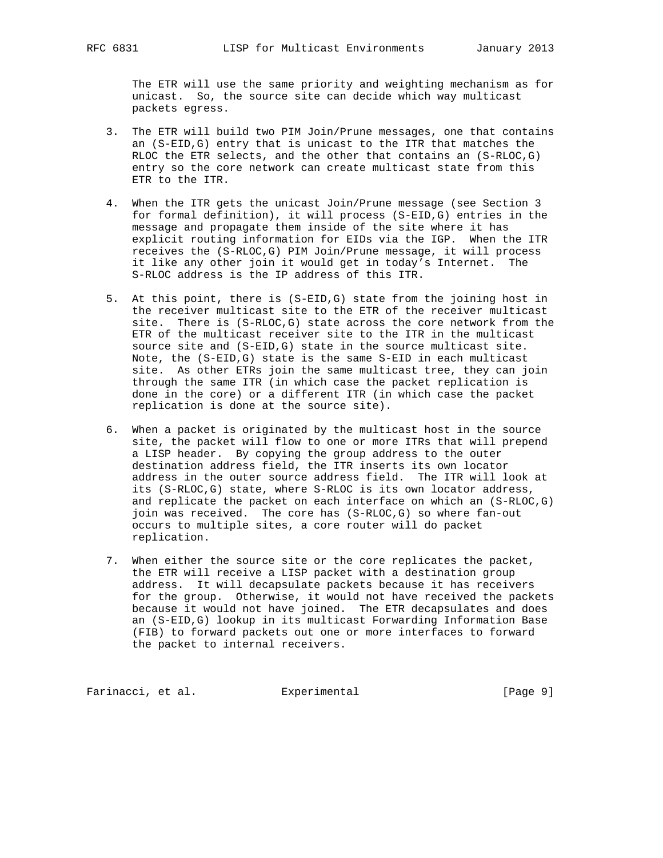The ETR will use the same priority and weighting mechanism as for unicast. So, the source site can decide which way multicast packets egress.

- 3. The ETR will build two PIM Join/Prune messages, one that contains an (S-EID,G) entry that is unicast to the ITR that matches the RLOC the ETR selects, and the other that contains an (S-RLOC,G) entry so the core network can create multicast state from this ETR to the ITR.
- 4. When the ITR gets the unicast Join/Prune message (see Section 3 for formal definition), it will process (S-EID,G) entries in the message and propagate them inside of the site where it has explicit routing information for EIDs via the IGP. When the ITR receives the (S-RLOC,G) PIM Join/Prune message, it will process it like any other join it would get in today's Internet. The S-RLOC address is the IP address of this ITR.
- 5. At this point, there is (S-EID,G) state from the joining host in the receiver multicast site to the ETR of the receiver multicast site. There is (S-RLOC,G) state across the core network from the ETR of the multicast receiver site to the ITR in the multicast source site and (S-EID,G) state in the source multicast site. Note, the (S-EID,G) state is the same S-EID in each multicast site. As other ETRs join the same multicast tree, they can join through the same ITR (in which case the packet replication is done in the core) or a different ITR (in which case the packet replication is done at the source site).
- 6. When a packet is originated by the multicast host in the source site, the packet will flow to one or more ITRs that will prepend a LISP header. By copying the group address to the outer destination address field, the ITR inserts its own locator address in the outer source address field. The ITR will look at its (S-RLOC,G) state, where S-RLOC is its own locator address, and replicate the packet on each interface on which an (S-RLOC,G) join was received. The core has (S-RLOC,G) so where fan-out occurs to multiple sites, a core router will do packet replication.
- 7. When either the source site or the core replicates the packet, the ETR will receive a LISP packet with a destination group address. It will decapsulate packets because it has receivers for the group. Otherwise, it would not have received the packets because it would not have joined. The ETR decapsulates and does an (S-EID,G) lookup in its multicast Forwarding Information Base (FIB) to forward packets out one or more interfaces to forward the packet to internal receivers.

Farinacci, et al. Experimental [Page 9]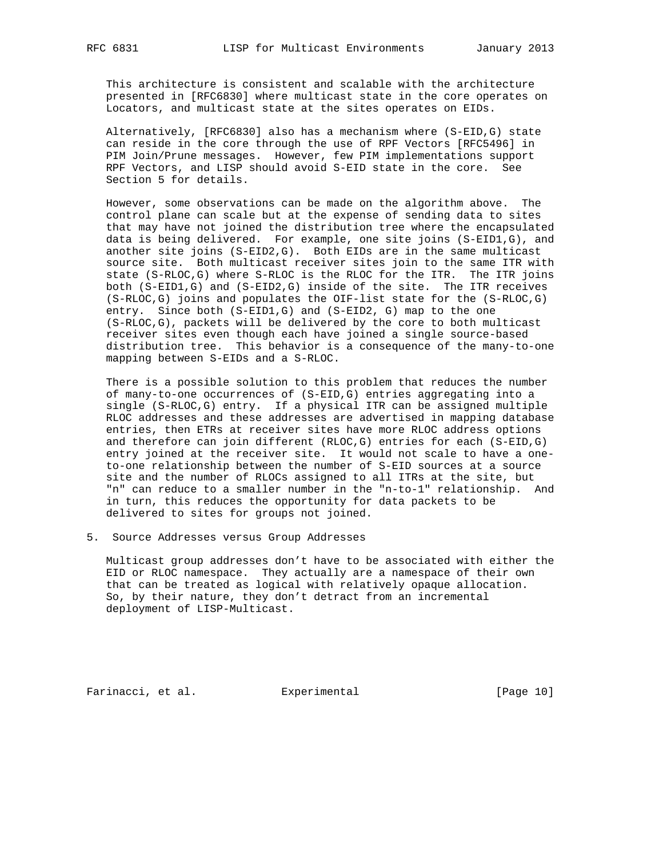This architecture is consistent and scalable with the architecture presented in [RFC6830] where multicast state in the core operates on Locators, and multicast state at the sites operates on EIDs.

 Alternatively, [RFC6830] also has a mechanism where (S-EID,G) state can reside in the core through the use of RPF Vectors [RFC5496] in PIM Join/Prune messages. However, few PIM implementations support RPF Vectors, and LISP should avoid S-EID state in the core. See Section 5 for details.

 However, some observations can be made on the algorithm above. The control plane can scale but at the expense of sending data to sites that may have not joined the distribution tree where the encapsulated data is being delivered. For example, one site joins (S-EID1,G), and another site joins (S-EID2,G). Both EIDs are in the same multicast source site. Both multicast receiver sites join to the same ITR with state (S-RLOC,G) where S-RLOC is the RLOC for the ITR. The ITR joins both (S-EID1,G) and (S-EID2,G) inside of the site. The ITR receives (S-RLOC,G) joins and populates the OIF-list state for the (S-RLOC,G) entry. Since both (S-EID1,G) and (S-EID2, G) map to the one (S-RLOC,G), packets will be delivered by the core to both multicast receiver sites even though each have joined a single source-based distribution tree. This behavior is a consequence of the many-to-one mapping between S-EIDs and a S-RLOC.

 There is a possible solution to this problem that reduces the number of many-to-one occurrences of (S-EID,G) entries aggregating into a single (S-RLOC,G) entry. If a physical ITR can be assigned multiple RLOC addresses and these addresses are advertised in mapping database entries, then ETRs at receiver sites have more RLOC address options and therefore can join different (RLOC,G) entries for each (S-EID,G) entry joined at the receiver site. It would not scale to have a one to-one relationship between the number of S-EID sources at a source site and the number of RLOCs assigned to all ITRs at the site, but "n" can reduce to a smaller number in the "n-to-1" relationship. And in turn, this reduces the opportunity for data packets to be delivered to sites for groups not joined.

5. Source Addresses versus Group Addresses

 Multicast group addresses don't have to be associated with either the EID or RLOC namespace. They actually are a namespace of their own that can be treated as logical with relatively opaque allocation. So, by their nature, they don't detract from an incremental deployment of LISP-Multicast.

Farinacci, et al. Experimental [Page 10]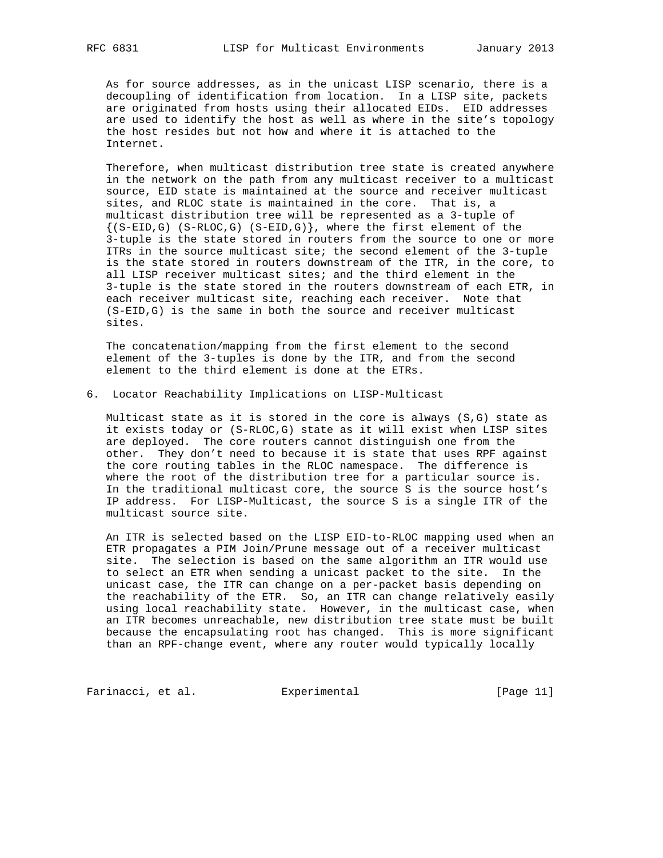As for source addresses, as in the unicast LISP scenario, there is a decoupling of identification from location. In a LISP site, packets are originated from hosts using their allocated EIDs. EID addresses are used to identify the host as well as where in the site's topology the host resides but not how and where it is attached to the Internet.

 Therefore, when multicast distribution tree state is created anywhere in the network on the path from any multicast receiver to a multicast source, EID state is maintained at the source and receiver multicast sites, and RLOC state is maintained in the core. That is, a multicast distribution tree will be represented as a 3-tuple of  $\{(S-ELD,G) (S-RLOC,G) (S-ELD,G)\}\$ , where the first element of the 3-tuple is the state stored in routers from the source to one or more ITRs in the source multicast site; the second element of the 3-tuple is the state stored in routers downstream of the ITR, in the core, to all LISP receiver multicast sites; and the third element in the 3-tuple is the state stored in the routers downstream of each ETR, in each receiver multicast site, reaching each receiver. Note that (S-EID,G) is the same in both the source and receiver multicast sites.

 The concatenation/mapping from the first element to the second element of the 3-tuples is done by the ITR, and from the second element to the third element is done at the ETRs.

6. Locator Reachability Implications on LISP-Multicast

 Multicast state as it is stored in the core is always (S,G) state as it exists today or (S-RLOC,G) state as it will exist when LISP sites are deployed. The core routers cannot distinguish one from the other. They don't need to because it is state that uses RPF against the core routing tables in the RLOC namespace. The difference is where the root of the distribution tree for a particular source is. In the traditional multicast core, the source S is the source host's IP address. For LISP-Multicast, the source S is a single ITR of the multicast source site.

 An ITR is selected based on the LISP EID-to-RLOC mapping used when an ETR propagates a PIM Join/Prune message out of a receiver multicast site. The selection is based on the same algorithm an ITR would use to select an ETR when sending a unicast packet to the site. In the unicast case, the ITR can change on a per-packet basis depending on the reachability of the ETR. So, an ITR can change relatively easily using local reachability state. However, in the multicast case, when an ITR becomes unreachable, new distribution tree state must be built because the encapsulating root has changed. This is more significant than an RPF-change event, where any router would typically locally

Farinacci, et al. Experimental [Page 11]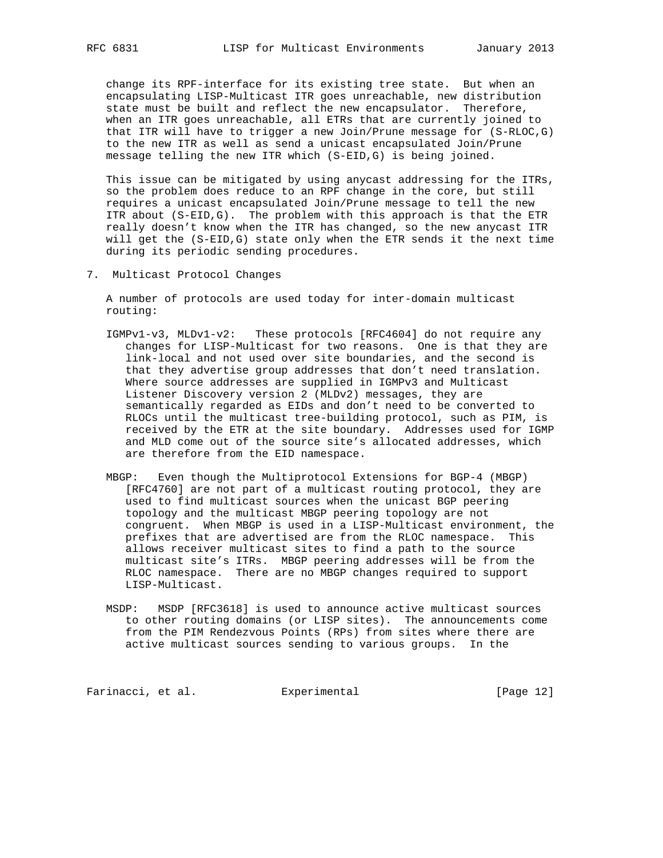change its RPF-interface for its existing tree state. But when an encapsulating LISP-Multicast ITR goes unreachable, new distribution state must be built and reflect the new encapsulator. Therefore, when an ITR goes unreachable, all ETRs that are currently joined to that ITR will have to trigger a new Join/Prune message for (S-RLOC,G) to the new ITR as well as send a unicast encapsulated Join/Prune message telling the new ITR which (S-EID,G) is being joined.

 This issue can be mitigated by using anycast addressing for the ITRs, so the problem does reduce to an RPF change in the core, but still requires a unicast encapsulated Join/Prune message to tell the new ITR about (S-EID,G). The problem with this approach is that the ETR really doesn't know when the ITR has changed, so the new anycast ITR will get the (S-EID,G) state only when the ETR sends it the next time during its periodic sending procedures.

7. Multicast Protocol Changes

 A number of protocols are used today for inter-domain multicast routing:

- IGMPv1-v3, MLDv1-v2: These protocols [RFC4604] do not require any changes for LISP-Multicast for two reasons. One is that they are link-local and not used over site boundaries, and the second is that they advertise group addresses that don't need translation. Where source addresses are supplied in IGMPv3 and Multicast Listener Discovery version 2 (MLDv2) messages, they are semantically regarded as EIDs and don't need to be converted to RLOCs until the multicast tree-building protocol, such as PIM, is received by the ETR at the site boundary. Addresses used for IGMP and MLD come out of the source site's allocated addresses, which are therefore from the EID namespace.
- MBGP: Even though the Multiprotocol Extensions for BGP-4 (MBGP) [RFC4760] are not part of a multicast routing protocol, they are used to find multicast sources when the unicast BGP peering topology and the multicast MBGP peering topology are not congruent. When MBGP is used in a LISP-Multicast environment, the prefixes that are advertised are from the RLOC namespace. This allows receiver multicast sites to find a path to the source multicast site's ITRs. MBGP peering addresses will be from the RLOC namespace. There are no MBGP changes required to support LISP-Multicast.
- MSDP: MSDP [RFC3618] is used to announce active multicast sources to other routing domains (or LISP sites). The announcements come from the PIM Rendezvous Points (RPs) from sites where there are active multicast sources sending to various groups. In the

Farinacci, et al. Experimental [Page 12]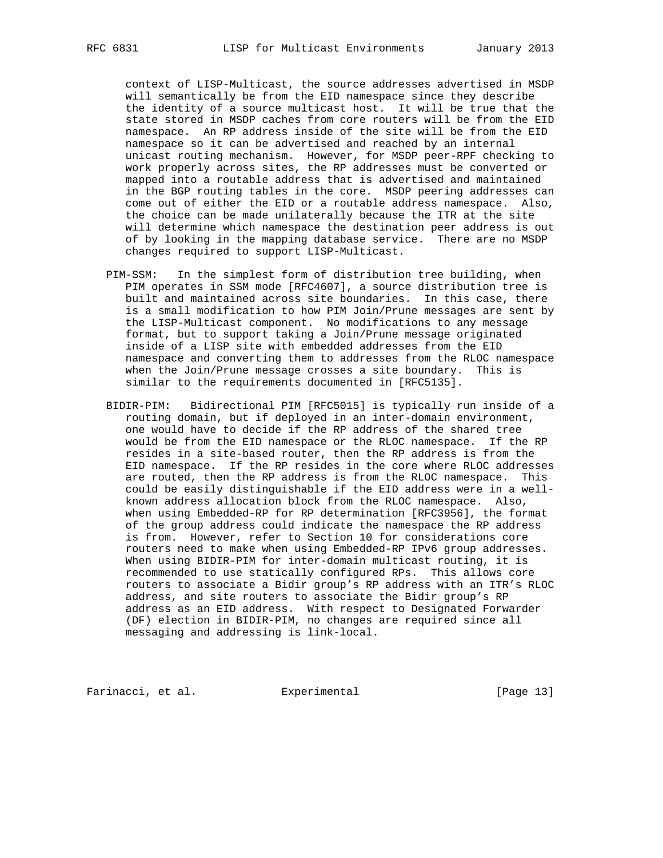context of LISP-Multicast, the source addresses advertised in MSDP will semantically be from the EID namespace since they describe the identity of a source multicast host. It will be true that the state stored in MSDP caches from core routers will be from the EID namespace. An RP address inside of the site will be from the EID namespace so it can be advertised and reached by an internal unicast routing mechanism. However, for MSDP peer-RPF checking to work properly across sites, the RP addresses must be converted or mapped into a routable address that is advertised and maintained in the BGP routing tables in the core. MSDP peering addresses can come out of either the EID or a routable address namespace. Also, the choice can be made unilaterally because the ITR at the site will determine which namespace the destination peer address is out of by looking in the mapping database service. There are no MSDP changes required to support LISP-Multicast.

- PIM-SSM: In the simplest form of distribution tree building, when PIM operates in SSM mode [RFC4607], a source distribution tree is built and maintained across site boundaries. In this case, there is a small modification to how PIM Join/Prune messages are sent by the LISP-Multicast component. No modifications to any message format, but to support taking a Join/Prune message originated inside of a LISP site with embedded addresses from the EID namespace and converting them to addresses from the RLOC namespace when the Join/Prune message crosses a site boundary. This is similar to the requirements documented in [RFC5135].
- BIDIR-PIM: Bidirectional PIM [RFC5015] is typically run inside of a routing domain, but if deployed in an inter-domain environment, one would have to decide if the RP address of the shared tree would be from the EID namespace or the RLOC namespace. If the RP resides in a site-based router, then the RP address is from the EID namespace. If the RP resides in the core where RLOC addresses are routed, then the RP address is from the RLOC namespace. This could be easily distinguishable if the EID address were in a well known address allocation block from the RLOC namespace. Also, when using Embedded-RP for RP determination [RFC3956], the format of the group address could indicate the namespace the RP address is from. However, refer to Section 10 for considerations core routers need to make when using Embedded-RP IPv6 group addresses. When using BIDIR-PIM for inter-domain multicast routing, it is recommended to use statically configured RPs. This allows core routers to associate a Bidir group's RP address with an ITR's RLOC address, and site routers to associate the Bidir group's RP address as an EID address. With respect to Designated Forwarder (DF) election in BIDIR-PIM, no changes are required since all messaging and addressing is link-local.

Farinacci, et al. Experimental [Page 13]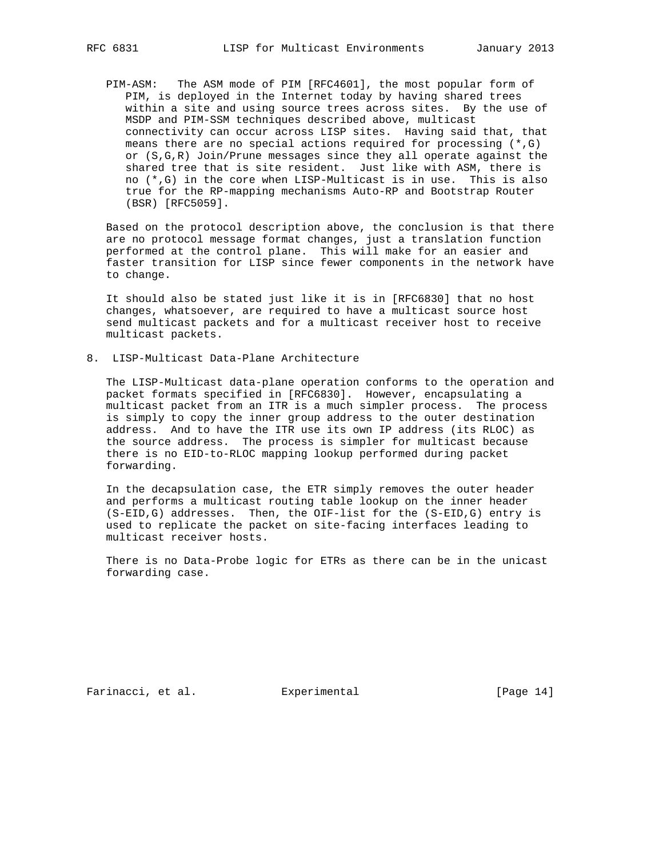PIM-ASM: The ASM mode of PIM [RFC4601], the most popular form of PIM, is deployed in the Internet today by having shared trees within a site and using source trees across sites. By the use of MSDP and PIM-SSM techniques described above, multicast connectivity can occur across LISP sites. Having said that, that means there are no special actions required for processing  $(*$ , G) or (S,G,R) Join/Prune messages since they all operate against the shared tree that is site resident. Just like with ASM, there is no (\*,G) in the core when LISP-Multicast is in use. This is also true for the RP-mapping mechanisms Auto-RP and Bootstrap Router (BSR) [RFC5059].

 Based on the protocol description above, the conclusion is that there are no protocol message format changes, just a translation function performed at the control plane. This will make for an easier and faster transition for LISP since fewer components in the network have to change.

 It should also be stated just like it is in [RFC6830] that no host changes, whatsoever, are required to have a multicast source host send multicast packets and for a multicast receiver host to receive multicast packets.

8. LISP-Multicast Data-Plane Architecture

 The LISP-Multicast data-plane operation conforms to the operation and packet formats specified in [RFC6830]. However, encapsulating a multicast packet from an ITR is a much simpler process. The process is simply to copy the inner group address to the outer destination address. And to have the ITR use its own IP address (its RLOC) as the source address. The process is simpler for multicast because there is no EID-to-RLOC mapping lookup performed during packet forwarding.

 In the decapsulation case, the ETR simply removes the outer header and performs a multicast routing table lookup on the inner header (S-EID,G) addresses. Then, the OIF-list for the (S-EID,G) entry is used to replicate the packet on site-facing interfaces leading to multicast receiver hosts.

 There is no Data-Probe logic for ETRs as there can be in the unicast forwarding case.

Farinacci, et al. Experimental [Page 14]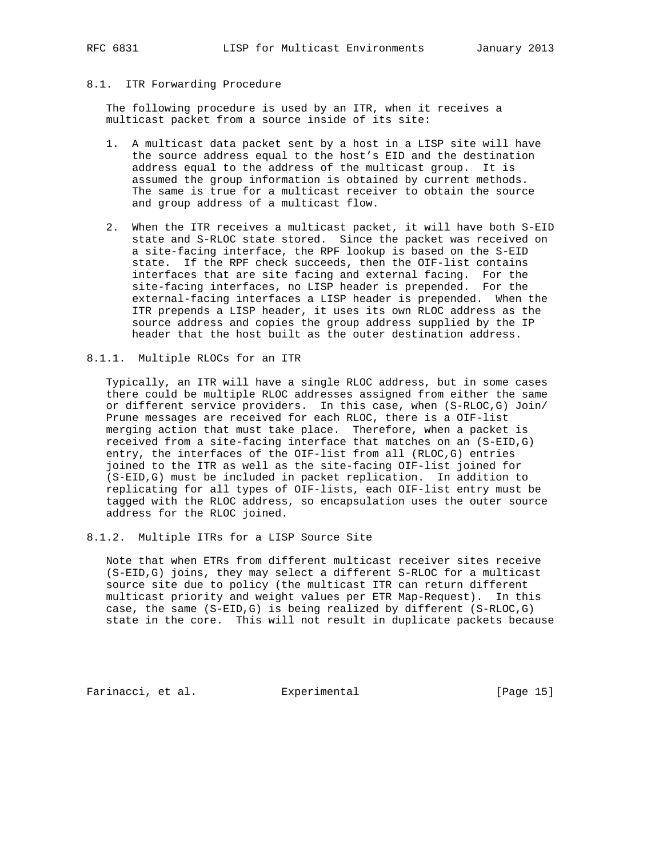# 8.1. ITR Forwarding Procedure

 The following procedure is used by an ITR, when it receives a multicast packet from a source inside of its site:

- 1. A multicast data packet sent by a host in a LISP site will have the source address equal to the host's EID and the destination address equal to the address of the multicast group. It is assumed the group information is obtained by current methods. The same is true for a multicast receiver to obtain the source and group address of a multicast flow.
- 2. When the ITR receives a multicast packet, it will have both S-EID state and S-RLOC state stored. Since the packet was received on a site-facing interface, the RPF lookup is based on the S-EID state. If the RPF check succeeds, then the OIF-list contains interfaces that are site facing and external facing. For the site-facing interfaces, no LISP header is prepended. For the external-facing interfaces a LISP header is prepended. When the ITR prepends a LISP header, it uses its own RLOC address as the source address and copies the group address supplied by the IP header that the host built as the outer destination address.
- 8.1.1. Multiple RLOCs for an ITR

 Typically, an ITR will have a single RLOC address, but in some cases there could be multiple RLOC addresses assigned from either the same or different service providers. In this case, when (S-RLOC,G) Join/ Prune messages are received for each RLOC, there is a OIF-list merging action that must take place. Therefore, when a packet is received from a site-facing interface that matches on an (S-EID,G) entry, the interfaces of the OIF-list from all (RLOC,G) entries joined to the ITR as well as the site-facing OIF-list joined for (S-EID,G) must be included in packet replication. In addition to replicating for all types of OIF-lists, each OIF-list entry must be tagged with the RLOC address, so encapsulation uses the outer source address for the RLOC joined.

8.1.2. Multiple ITRs for a LISP Source Site

Note that when ETRs from different multicast receiver sites receive (S-EID,G) joins, they may select a different S-RLOC for a multicast source site due to policy (the multicast ITR can return different multicast priority and weight values per ETR Map-Request). In this case, the same (S-EID,G) is being realized by different (S-RLOC,G) state in the core. This will not result in duplicate packets because

Farinacci, et al. Experimental [Page 15]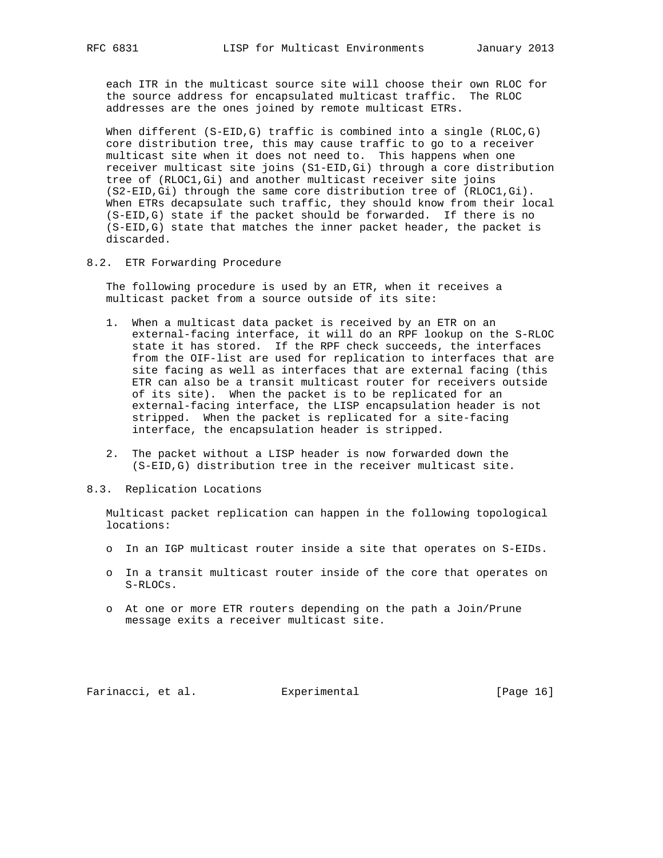each ITR in the multicast source site will choose their own RLOC for the source address for encapsulated multicast traffic. The RLOC addresses are the ones joined by remote multicast ETRs.

When different  $(S-ELID, G)$  traffic is combined into a single  $(RLOC, G)$  core distribution tree, this may cause traffic to go to a receiver multicast site when it does not need to. This happens when one receiver multicast site joins (S1-EID,Gi) through a core distribution tree of (RLOC1,Gi) and another multicast receiver site joins (S2-EID,Gi) through the same core distribution tree of (RLOC1,Gi). When ETRs decapsulate such traffic, they should know from their local (S-EID,G) state if the packet should be forwarded. If there is no (S-EID,G) state that matches the inner packet header, the packet is discarded.

8.2. ETR Forwarding Procedure

 The following procedure is used by an ETR, when it receives a multicast packet from a source outside of its site:

- 1. When a multicast data packet is received by an ETR on an external-facing interface, it will do an RPF lookup on the S-RLOC state it has stored. If the RPF check succeeds, the interfaces from the OIF-list are used for replication to interfaces that are site facing as well as interfaces that are external facing (this ETR can also be a transit multicast router for receivers outside of its site). When the packet is to be replicated for an external-facing interface, the LISP encapsulation header is not stripped. When the packet is replicated for a site-facing interface, the encapsulation header is stripped.
- 2. The packet without a LISP header is now forwarded down the (S-EID,G) distribution tree in the receiver multicast site.
- 8.3. Replication Locations

 Multicast packet replication can happen in the following topological locations:

- o In an IGP multicast router inside a site that operates on S-EIDs.
- o In a transit multicast router inside of the core that operates on S-RLOCs.
- o At one or more ETR routers depending on the path a Join/Prune message exits a receiver multicast site.

Farinacci, et al. Experimental [Page 16]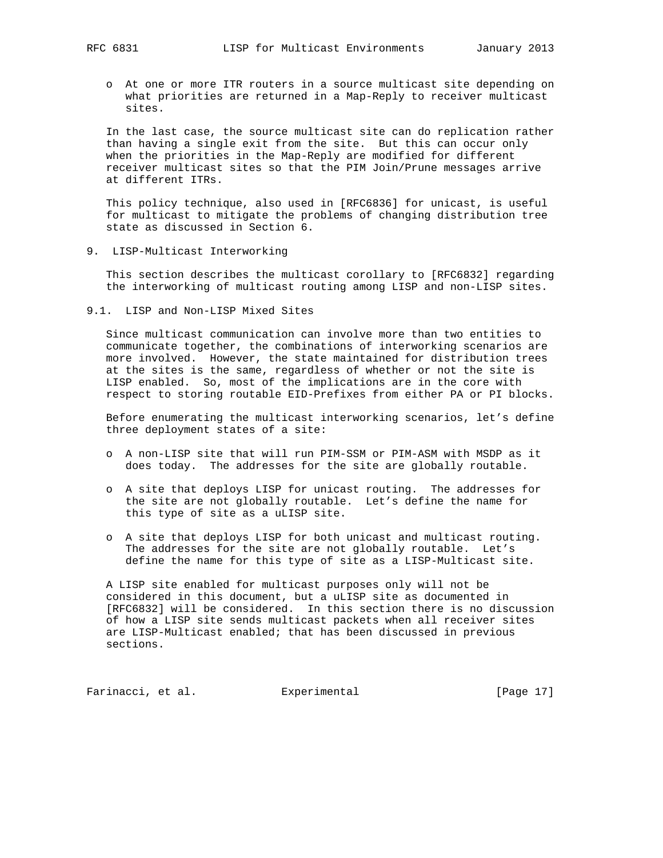- - o At one or more ITR routers in a source multicast site depending on what priorities are returned in a Map-Reply to receiver multicast sites.

 In the last case, the source multicast site can do replication rather than having a single exit from the site. But this can occur only when the priorities in the Map-Reply are modified for different receiver multicast sites so that the PIM Join/Prune messages arrive at different ITRs.

 This policy technique, also used in [RFC6836] for unicast, is useful for multicast to mitigate the problems of changing distribution tree state as discussed in Section 6.

9. LISP-Multicast Interworking

 This section describes the multicast corollary to [RFC6832] regarding the interworking of multicast routing among LISP and non-LISP sites.

9.1. LISP and Non-LISP Mixed Sites

 Since multicast communication can involve more than two entities to communicate together, the combinations of interworking scenarios are more involved. However, the state maintained for distribution trees at the sites is the same, regardless of whether or not the site is LISP enabled. So, most of the implications are in the core with respect to storing routable EID-Prefixes from either PA or PI blocks.

 Before enumerating the multicast interworking scenarios, let's define three deployment states of a site:

- o A non-LISP site that will run PIM-SSM or PIM-ASM with MSDP as it does today. The addresses for the site are globally routable.
- o A site that deploys LISP for unicast routing. The addresses for the site are not globally routable. Let's define the name for this type of site as a uLISP site.
- o A site that deploys LISP for both unicast and multicast routing. The addresses for the site are not globally routable. Let's define the name for this type of site as a LISP-Multicast site.

 A LISP site enabled for multicast purposes only will not be considered in this document, but a uLISP site as documented in [RFC6832] will be considered. In this section there is no discussion of how a LISP site sends multicast packets when all receiver sites are LISP-Multicast enabled; that has been discussed in previous sections.

Farinacci, et al. Experimental [Page 17]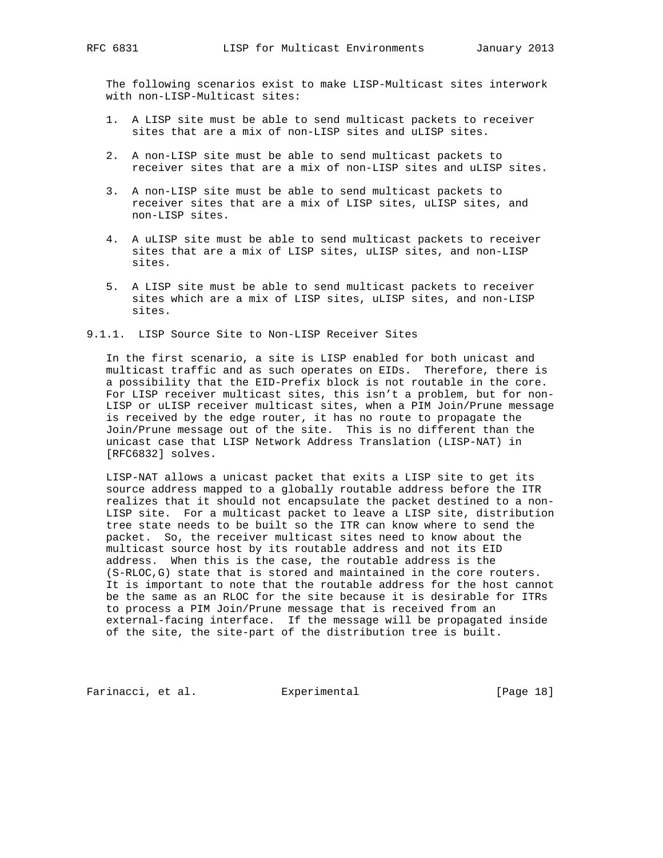The following scenarios exist to make LISP-Multicast sites interwork with non-LISP-Multicast sites:

- 1. A LISP site must be able to send multicast packets to receiver sites that are a mix of non-LISP sites and uLISP sites.
- 2. A non-LISP site must be able to send multicast packets to receiver sites that are a mix of non-LISP sites and uLISP sites.
- 3. A non-LISP site must be able to send multicast packets to receiver sites that are a mix of LISP sites, uLISP sites, and non-LISP sites.
- 4. A uLISP site must be able to send multicast packets to receiver sites that are a mix of LISP sites, uLISP sites, and non-LISP sites.
- 5. A LISP site must be able to send multicast packets to receiver sites which are a mix of LISP sites, uLISP sites, and non-LISP sites.

9.1.1. LISP Source Site to Non-LISP Receiver Sites

 In the first scenario, a site is LISP enabled for both unicast and multicast traffic and as such operates on EIDs. Therefore, there is a possibility that the EID-Prefix block is not routable in the core. For LISP receiver multicast sites, this isn't a problem, but for non- LISP or uLISP receiver multicast sites, when a PIM Join/Prune message is received by the edge router, it has no route to propagate the Join/Prune message out of the site. This is no different than the unicast case that LISP Network Address Translation (LISP-NAT) in [RFC6832] solves.

 LISP-NAT allows a unicast packet that exits a LISP site to get its source address mapped to a globally routable address before the ITR realizes that it should not encapsulate the packet destined to a non- LISP site. For a multicast packet to leave a LISP site, distribution tree state needs to be built so the ITR can know where to send the packet. So, the receiver multicast sites need to know about the multicast source host by its routable address and not its EID address. When this is the case, the routable address is the (S-RLOC,G) state that is stored and maintained in the core routers. It is important to note that the routable address for the host cannot be the same as an RLOC for the site because it is desirable for ITRs to process a PIM Join/Prune message that is received from an external-facing interface. If the message will be propagated inside of the site, the site-part of the distribution tree is built.

Farinacci, et al. Experimental [Page 18]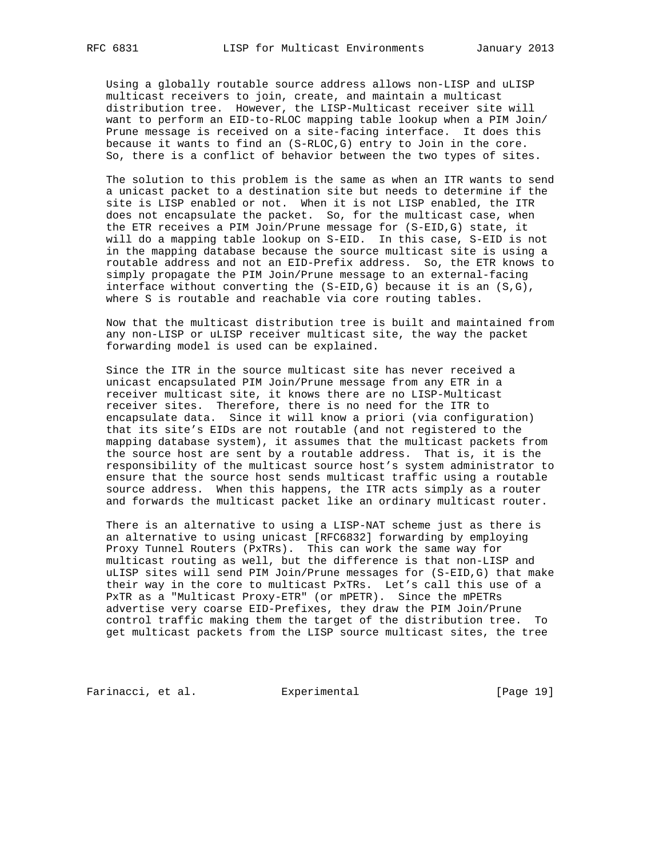Using a globally routable source address allows non-LISP and uLISP multicast receivers to join, create, and maintain a multicast distribution tree. However, the LISP-Multicast receiver site will want to perform an EID-to-RLOC mapping table lookup when a PIM Join/ Prune message is received on a site-facing interface. It does this because it wants to find an (S-RLOC,G) entry to Join in the core. So, there is a conflict of behavior between the two types of sites.

 The solution to this problem is the same as when an ITR wants to send a unicast packet to a destination site but needs to determine if the site is LISP enabled or not. When it is not LISP enabled, the ITR does not encapsulate the packet. So, for the multicast case, when the ETR receives a PIM Join/Prune message for (S-EID,G) state, it will do a mapping table lookup on S-EID. In this case, S-EID is not in the mapping database because the source multicast site is using a routable address and not an EID-Prefix address. So, the ETR knows to simply propagate the PIM Join/Prune message to an external-facing interface without converting the  $(S-ELID, G)$  because it is an  $(S, G)$ , where S is routable and reachable via core routing tables.

 Now that the multicast distribution tree is built and maintained from any non-LISP or uLISP receiver multicast site, the way the packet forwarding model is used can be explained.

 Since the ITR in the source multicast site has never received a unicast encapsulated PIM Join/Prune message from any ETR in a receiver multicast site, it knows there are no LISP-Multicast receiver sites. Therefore, there is no need for the ITR to encapsulate data. Since it will know a priori (via configuration) that its site's EIDs are not routable (and not registered to the mapping database system), it assumes that the multicast packets from the source host are sent by a routable address. That is, it is the responsibility of the multicast source host's system administrator to ensure that the source host sends multicast traffic using a routable source address. When this happens, the ITR acts simply as a router and forwards the multicast packet like an ordinary multicast router.

 There is an alternative to using a LISP-NAT scheme just as there is an alternative to using unicast [RFC6832] forwarding by employing Proxy Tunnel Routers (PxTRs). This can work the same way for multicast routing as well, but the difference is that non-LISP and uLISP sites will send PIM Join/Prune messages for (S-EID,G) that make their way in the core to multicast PxTRs. Let's call this use of a PxTR as a "Multicast Proxy-ETR" (or mPETR). Since the mPETRs advertise very coarse EID-Prefixes, they draw the PIM Join/Prune control traffic making them the target of the distribution tree. To get multicast packets from the LISP source multicast sites, the tree

Farinacci, et al. Experimental [Page 19]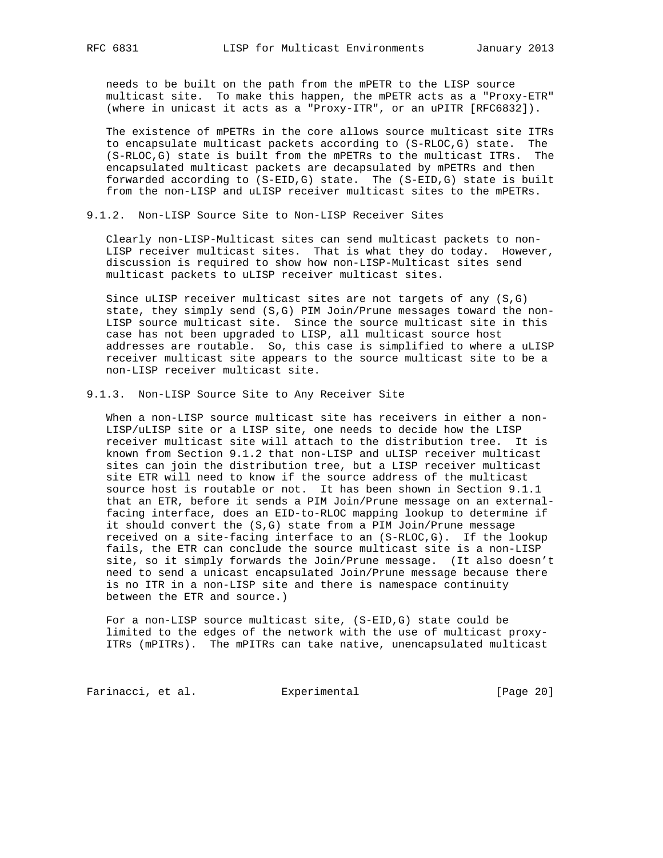needs to be built on the path from the mPETR to the LISP source multicast site. To make this happen, the mPETR acts as a "Proxy-ETR" (where in unicast it acts as a "Proxy-ITR", or an uPITR [RFC6832]).

 The existence of mPETRs in the core allows source multicast site ITRs to encapsulate multicast packets according to (S-RLOC,G) state. The (S-RLOC,G) state is built from the mPETRs to the multicast ITRs. The encapsulated multicast packets are decapsulated by mPETRs and then forwarded according to (S-EID,G) state. The (S-EID,G) state is built from the non-LISP and uLISP receiver multicast sites to the mPETRs.

9.1.2. Non-LISP Source Site to Non-LISP Receiver Sites

 Clearly non-LISP-Multicast sites can send multicast packets to non- LISP receiver multicast sites. That is what they do today. However, discussion is required to show how non-LISP-Multicast sites send multicast packets to uLISP receiver multicast sites.

 Since uLISP receiver multicast sites are not targets of any (S,G) state, they simply send (S,G) PIM Join/Prune messages toward the non- LISP source multicast site. Since the source multicast site in this case has not been upgraded to LISP, all multicast source host addresses are routable. So, this case is simplified to where a uLISP receiver multicast site appears to the source multicast site to be a non-LISP receiver multicast site.

9.1.3. Non-LISP Source Site to Any Receiver Site

 When a non-LISP source multicast site has receivers in either a non- LISP/uLISP site or a LISP site, one needs to decide how the LISP receiver multicast site will attach to the distribution tree. It is known from Section 9.1.2 that non-LISP and uLISP receiver multicast sites can join the distribution tree, but a LISP receiver multicast site ETR will need to know if the source address of the multicast source host is routable or not. It has been shown in Section 9.1.1 that an ETR, before it sends a PIM Join/Prune message on an external facing interface, does an EID-to-RLOC mapping lookup to determine if it should convert the (S,G) state from a PIM Join/Prune message received on a site-facing interface to an (S-RLOC,G). If the lookup fails, the ETR can conclude the source multicast site is a non-LISP site, so it simply forwards the Join/Prune message. (It also doesn't need to send a unicast encapsulated Join/Prune message because there is no ITR in a non-LISP site and there is namespace continuity between the ETR and source.)

 For a non-LISP source multicast site, (S-EID,G) state could be limited to the edges of the network with the use of multicast proxy- ITRs (mPITRs). The mPITRs can take native, unencapsulated multicast

Farinacci, et al. Experimental [Page 20]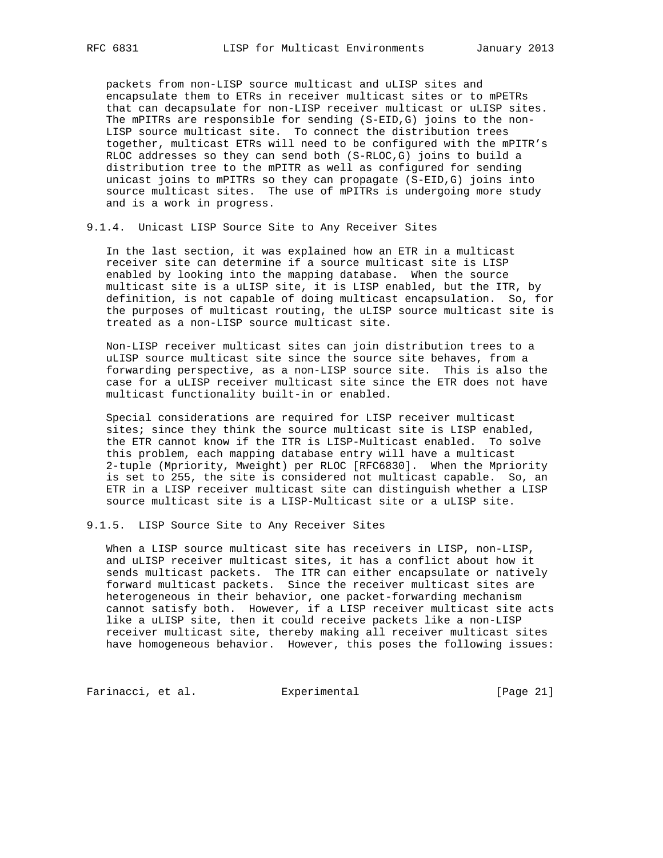packets from non-LISP source multicast and uLISP sites and encapsulate them to ETRs in receiver multicast sites or to mPETRs that can decapsulate for non-LISP receiver multicast or uLISP sites. The mPITRs are responsible for sending (S-EID,G) joins to the non- LISP source multicast site. To connect the distribution trees together, multicast ETRs will need to be configured with the mPITR's RLOC addresses so they can send both (S-RLOC,G) joins to build a distribution tree to the mPITR as well as configured for sending unicast joins to mPITRs so they can propagate (S-EID,G) joins into source multicast sites. The use of mPITRs is undergoing more study and is a work in progress.

9.1.4. Unicast LISP Source Site to Any Receiver Sites

 In the last section, it was explained how an ETR in a multicast receiver site can determine if a source multicast site is LISP enabled by looking into the mapping database. When the source multicast site is a uLISP site, it is LISP enabled, but the ITR, by definition, is not capable of doing multicast encapsulation. So, for the purposes of multicast routing, the uLISP source multicast site is treated as a non-LISP source multicast site.

 Non-LISP receiver multicast sites can join distribution trees to a uLISP source multicast site since the source site behaves, from a forwarding perspective, as a non-LISP source site. This is also the case for a uLISP receiver multicast site since the ETR does not have multicast functionality built-in or enabled.

 Special considerations are required for LISP receiver multicast sites; since they think the source multicast site is LISP enabled, the ETR cannot know if the ITR is LISP-Multicast enabled. To solve this problem, each mapping database entry will have a multicast 2-tuple (Mpriority, Mweight) per RLOC [RFC6830]. When the Mpriority is set to 255, the site is considered not multicast capable. So, an ETR in a LISP receiver multicast site can distinguish whether a LISP source multicast site is a LISP-Multicast site or a uLISP site.

9.1.5. LISP Source Site to Any Receiver Sites

 When a LISP source multicast site has receivers in LISP, non-LISP, and uLISP receiver multicast sites, it has a conflict about how it sends multicast packets. The ITR can either encapsulate or natively forward multicast packets. Since the receiver multicast sites are heterogeneous in their behavior, one packet-forwarding mechanism cannot satisfy both. However, if a LISP receiver multicast site acts like a uLISP site, then it could receive packets like a non-LISP receiver multicast site, thereby making all receiver multicast sites have homogeneous behavior. However, this poses the following issues:

Farinacci, et al. Experimental [Page 21]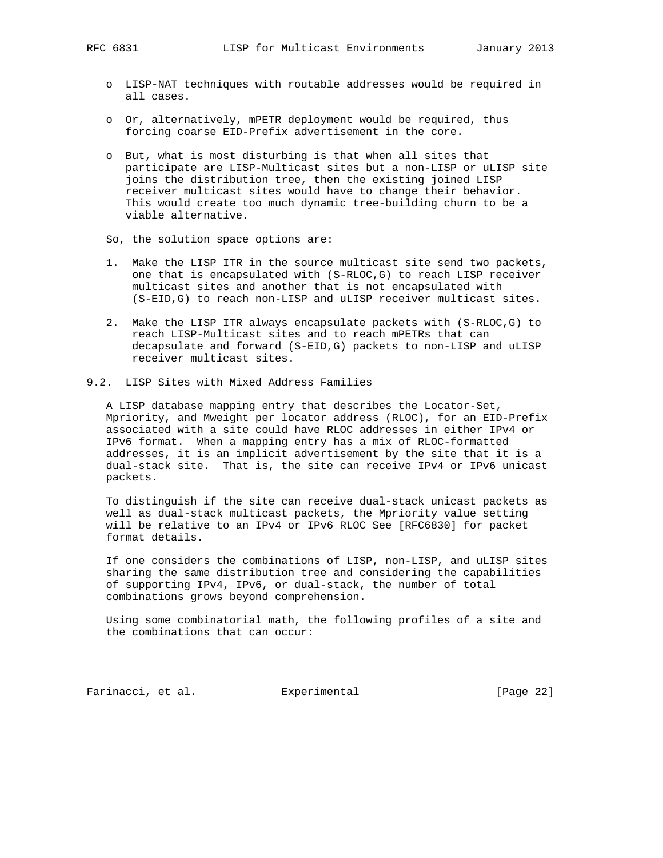- o LISP-NAT techniques with routable addresses would be required in all cases.
- o Or, alternatively, mPETR deployment would be required, thus forcing coarse EID-Prefix advertisement in the core.
- o But, what is most disturbing is that when all sites that participate are LISP-Multicast sites but a non-LISP or uLISP site joins the distribution tree, then the existing joined LISP receiver multicast sites would have to change their behavior. This would create too much dynamic tree-building churn to be a viable alternative.
- So, the solution space options are:
- 1. Make the LISP ITR in the source multicast site send two packets, one that is encapsulated with (S-RLOC,G) to reach LISP receiver multicast sites and another that is not encapsulated with (S-EID,G) to reach non-LISP and uLISP receiver multicast sites.
- 2. Make the LISP ITR always encapsulate packets with (S-RLOC,G) to reach LISP-Multicast sites and to reach mPETRs that can decapsulate and forward (S-EID,G) packets to non-LISP and uLISP receiver multicast sites.
- 9.2. LISP Sites with Mixed Address Families

 A LISP database mapping entry that describes the Locator-Set, Mpriority, and Mweight per locator address (RLOC), for an EID-Prefix associated with a site could have RLOC addresses in either IPv4 or IPv6 format. When a mapping entry has a mix of RLOC-formatted addresses, it is an implicit advertisement by the site that it is a dual-stack site. That is, the site can receive IPv4 or IPv6 unicast packets.

 To distinguish if the site can receive dual-stack unicast packets as well as dual-stack multicast packets, the Mpriority value setting will be relative to an IPv4 or IPv6 RLOC See [RFC6830] for packet format details.

 If one considers the combinations of LISP, non-LISP, and uLISP sites sharing the same distribution tree and considering the capabilities of supporting IPv4, IPv6, or dual-stack, the number of total combinations grows beyond comprehension.

 Using some combinatorial math, the following profiles of a site and the combinations that can occur:

Farinacci, et al. Experimental [Page 22]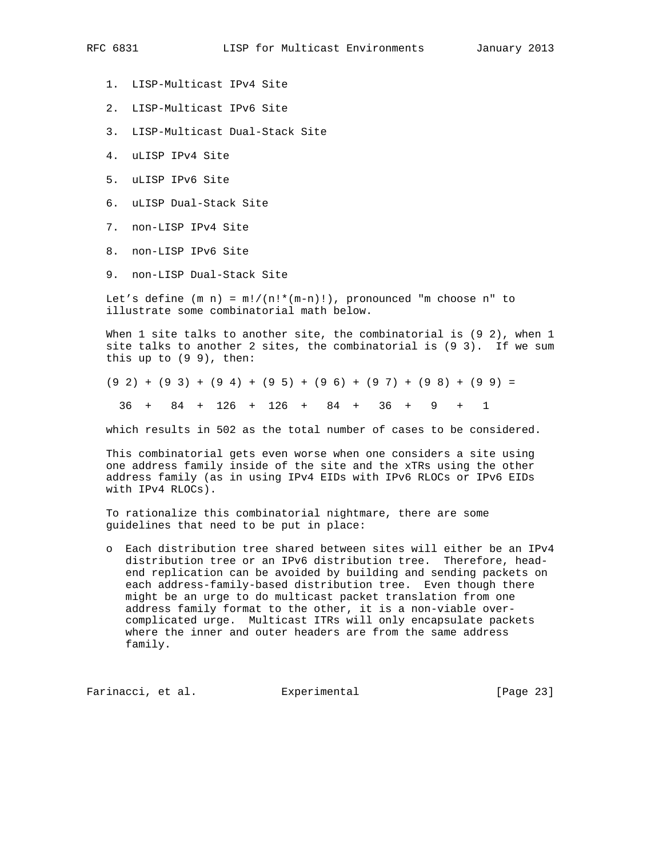- 1. LISP-Multicast IPv4 Site
- 2. LISP-Multicast IPv6 Site
- 3. LISP-Multicast Dual-Stack Site
- 4. uLISP IPv4 Site
- 5. uLISP IPv6 Site
- 6. uLISP Dual-Stack Site
- 7. non-LISP IPv4 Site
- 8. non-LISP IPv6 Site
- 9. non-LISP Dual-Stack Site

Let's define  $(m n) = m!/(n!*(m-n)!)$ , pronounced "m choose n" to illustrate some combinatorial math below.

When 1 site talks to another site, the combinatorial is (9 2), when 1 site talks to another 2 sites, the combinatorial is (9 3). If we sum this up to (9 9), then:

 $(9 2) + (9 3) + (9 4) + (9 5) + (9 6) + (9 7) + (9 8) + (9 9) =$ 

36 + 84 + 126 + 126 + 84 + 36 + 9 + 1

which results in 502 as the total number of cases to be considered.

 This combinatorial gets even worse when one considers a site using one address family inside of the site and the xTRs using the other address family (as in using IPv4 EIDs with IPv6 RLOCs or IPv6 EIDs with IPv4 RLOCs).

 To rationalize this combinatorial nightmare, there are some guidelines that need to be put in place:

 o Each distribution tree shared between sites will either be an IPv4 distribution tree or an IPv6 distribution tree. Therefore, head end replication can be avoided by building and sending packets on each address-family-based distribution tree. Even though there might be an urge to do multicast packet translation from one address family format to the other, it is a non-viable over complicated urge. Multicast ITRs will only encapsulate packets where the inner and outer headers are from the same address family.

Farinacci, et al. Experimental [Page 23]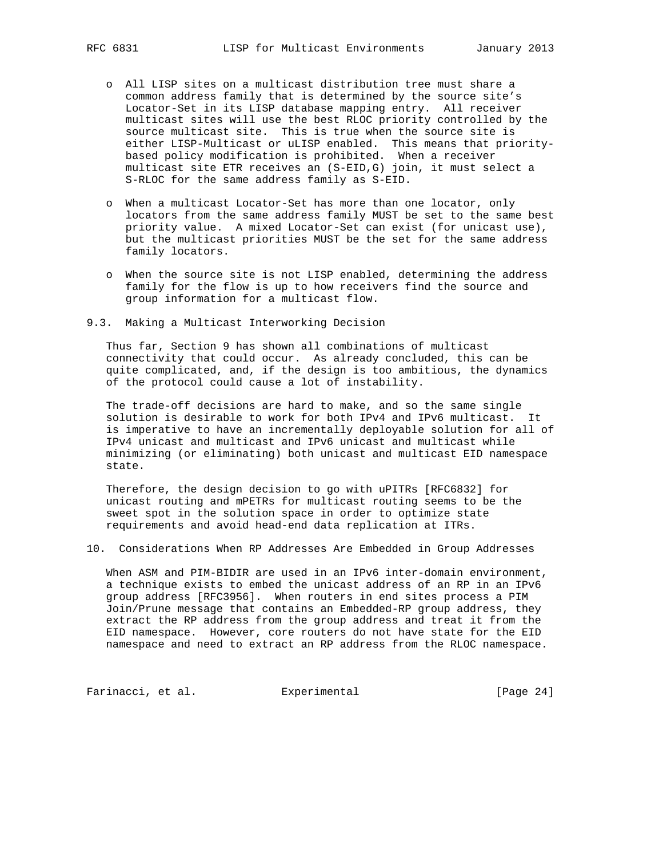- o All LISP sites on a multicast distribution tree must share a common address family that is determined by the source site's Locator-Set in its LISP database mapping entry. All receiver multicast sites will use the best RLOC priority controlled by the source multicast site. This is true when the source site is either LISP-Multicast or uLISP enabled. This means that priority based policy modification is prohibited. When a receiver multicast site ETR receives an (S-EID,G) join, it must select a S-RLOC for the same address family as S-EID.
	- o When a multicast Locator-Set has more than one locator, only locators from the same address family MUST be set to the same best priority value. A mixed Locator-Set can exist (for unicast use), but the multicast priorities MUST be the set for the same address family locators.
	- o When the source site is not LISP enabled, determining the address family for the flow is up to how receivers find the source and group information for a multicast flow.
- 9.3. Making a Multicast Interworking Decision

 Thus far, Section 9 has shown all combinations of multicast connectivity that could occur. As already concluded, this can be quite complicated, and, if the design is too ambitious, the dynamics of the protocol could cause a lot of instability.

 The trade-off decisions are hard to make, and so the same single solution is desirable to work for both IPv4 and IPv6 multicast. It is imperative to have an incrementally deployable solution for all of IPv4 unicast and multicast and IPv6 unicast and multicast while minimizing (or eliminating) both unicast and multicast EID namespace state.

 Therefore, the design decision to go with uPITRs [RFC6832] for unicast routing and mPETRs for multicast routing seems to be the sweet spot in the solution space in order to optimize state requirements and avoid head-end data replication at ITRs.

10. Considerations When RP Addresses Are Embedded in Group Addresses

 When ASM and PIM-BIDIR are used in an IPv6 inter-domain environment, a technique exists to embed the unicast address of an RP in an IPv6 group address [RFC3956]. When routers in end sites process a PIM Join/Prune message that contains an Embedded-RP group address, they extract the RP address from the group address and treat it from the EID namespace. However, core routers do not have state for the EID namespace and need to extract an RP address from the RLOC namespace.

Farinacci, et al. Experimental [Page 24]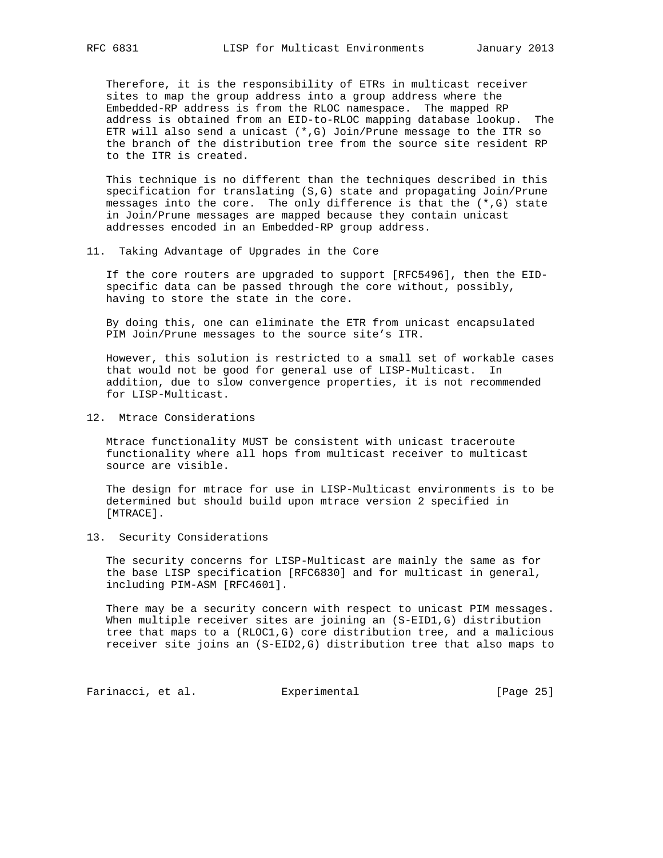Therefore, it is the responsibility of ETRs in multicast receiver sites to map the group address into a group address where the Embedded-RP address is from the RLOC namespace. The mapped RP address is obtained from an EID-to-RLOC mapping database lookup. The ETR will also send a unicast (\*,G) Join/Prune message to the ITR so the branch of the distribution tree from the source site resident RP to the ITR is created.

 This technique is no different than the techniques described in this specification for translating (S,G) state and propagating Join/Prune messages into the core. The only difference is that the  $(*, G)$  state in Join/Prune messages are mapped because they contain unicast addresses encoded in an Embedded-RP group address.

#### 11. Taking Advantage of Upgrades in the Core

 If the core routers are upgraded to support [RFC5496], then the EID specific data can be passed through the core without, possibly, having to store the state in the core.

 By doing this, one can eliminate the ETR from unicast encapsulated PIM Join/Prune messages to the source site's ITR.

 However, this solution is restricted to a small set of workable cases that would not be good for general use of LISP-Multicast. In addition, due to slow convergence properties, it is not recommended for LISP-Multicast.

12. Mtrace Considerations

 Mtrace functionality MUST be consistent with unicast traceroute functionality where all hops from multicast receiver to multicast source are visible.

 The design for mtrace for use in LISP-Multicast environments is to be determined but should build upon mtrace version 2 specified in [MTRACE].

13. Security Considerations

 The security concerns for LISP-Multicast are mainly the same as for the base LISP specification [RFC6830] and for multicast in general, including PIM-ASM [RFC4601].

 There may be a security concern with respect to unicast PIM messages. When multiple receiver sites are joining an (S-EID1,G) distribution tree that maps to a (RLOC1,G) core distribution tree, and a malicious receiver site joins an (S-EID2,G) distribution tree that also maps to

Farinacci, et al. Experimental [Page 25]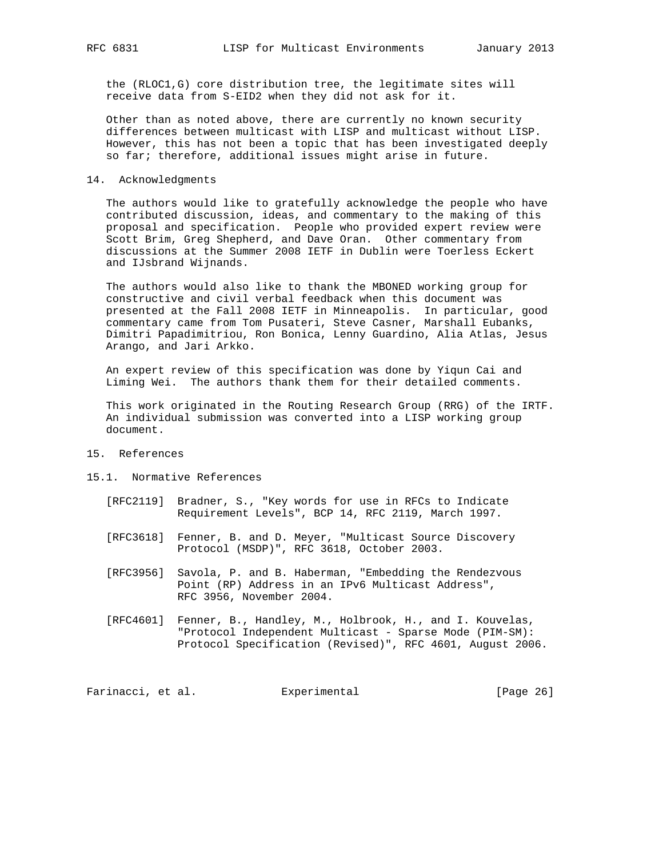the (RLOC1,G) core distribution tree, the legitimate sites will receive data from S-EID2 when they did not ask for it.

 Other than as noted above, there are currently no known security differences between multicast with LISP and multicast without LISP. However, this has not been a topic that has been investigated deeply so far; therefore, additional issues might arise in future.

#### 14. Acknowledgments

 The authors would like to gratefully acknowledge the people who have contributed discussion, ideas, and commentary to the making of this proposal and specification. People who provided expert review were Scott Brim, Greg Shepherd, and Dave Oran. Other commentary from discussions at the Summer 2008 IETF in Dublin were Toerless Eckert and IJsbrand Wijnands.

 The authors would also like to thank the MBONED working group for constructive and civil verbal feedback when this document was presented at the Fall 2008 IETF in Minneapolis. In particular, good commentary came from Tom Pusateri, Steve Casner, Marshall Eubanks, Dimitri Papadimitriou, Ron Bonica, Lenny Guardino, Alia Atlas, Jesus Arango, and Jari Arkko.

 An expert review of this specification was done by Yiqun Cai and Liming Wei. The authors thank them for their detailed comments.

 This work originated in the Routing Research Group (RRG) of the IRTF. An individual submission was converted into a LISP working group document.

#### 15. References

### 15.1. Normative References

- [RFC2119] Bradner, S., "Key words for use in RFCs to Indicate Requirement Levels", BCP 14, RFC 2119, March 1997.
- [RFC3618] Fenner, B. and D. Meyer, "Multicast Source Discovery Protocol (MSDP)", RFC 3618, October 2003.
- [RFC3956] Savola, P. and B. Haberman, "Embedding the Rendezvous Point (RP) Address in an IPv6 Multicast Address", RFC 3956, November 2004.
- [RFC4601] Fenner, B., Handley, M., Holbrook, H., and I. Kouvelas, "Protocol Independent Multicast - Sparse Mode (PIM-SM): Protocol Specification (Revised)", RFC 4601, August 2006.

Farinacci, et al. Experimental [Page 26]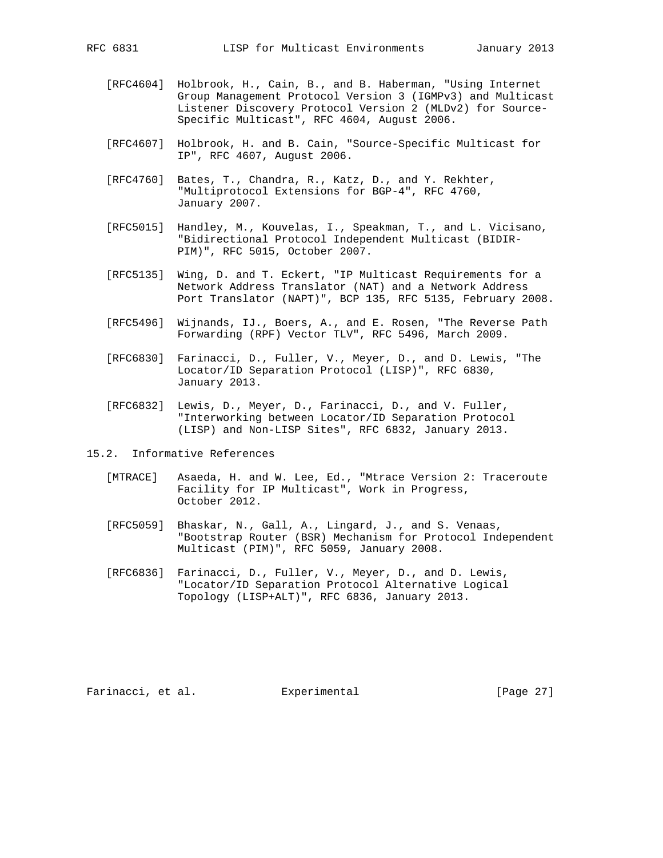- [RFC4604] Holbrook, H., Cain, B., and B. Haberman, "Using Internet Group Management Protocol Version 3 (IGMPv3) and Multicast Listener Discovery Protocol Version 2 (MLDv2) for Source- Specific Multicast", RFC 4604, August 2006.
- [RFC4607] Holbrook, H. and B. Cain, "Source-Specific Multicast for IP", RFC 4607, August 2006.
- [RFC4760] Bates, T., Chandra, R., Katz, D., and Y. Rekhter, "Multiprotocol Extensions for BGP-4", RFC 4760, January 2007.
- [RFC5015] Handley, M., Kouvelas, I., Speakman, T., and L. Vicisano, "Bidirectional Protocol Independent Multicast (BIDIR- PIM)", RFC 5015, October 2007.
- [RFC5135] Wing, D. and T. Eckert, "IP Multicast Requirements for a Network Address Translator (NAT) and a Network Address Port Translator (NAPT)", BCP 135, RFC 5135, February 2008.
- [RFC5496] Wijnands, IJ., Boers, A., and E. Rosen, "The Reverse Path Forwarding (RPF) Vector TLV", RFC 5496, March 2009.
- [RFC6830] Farinacci, D., Fuller, V., Meyer, D., and D. Lewis, "The Locator/ID Separation Protocol (LISP)", RFC 6830, January 2013.
- [RFC6832] Lewis, D., Meyer, D., Farinacci, D., and V. Fuller, "Interworking between Locator/ID Separation Protocol (LISP) and Non-LISP Sites", RFC 6832, January 2013.
- 15.2. Informative References
	- [MTRACE] Asaeda, H. and W. Lee, Ed., "Mtrace Version 2: Traceroute Facility for IP Multicast", Work in Progress, October 2012.
	- [RFC5059] Bhaskar, N., Gall, A., Lingard, J., and S. Venaas, "Bootstrap Router (BSR) Mechanism for Protocol Independent Multicast (PIM)", RFC 5059, January 2008.
	- [RFC6836] Farinacci, D., Fuller, V., Meyer, D., and D. Lewis, "Locator/ID Separation Protocol Alternative Logical Topology (LISP+ALT)", RFC 6836, January 2013.